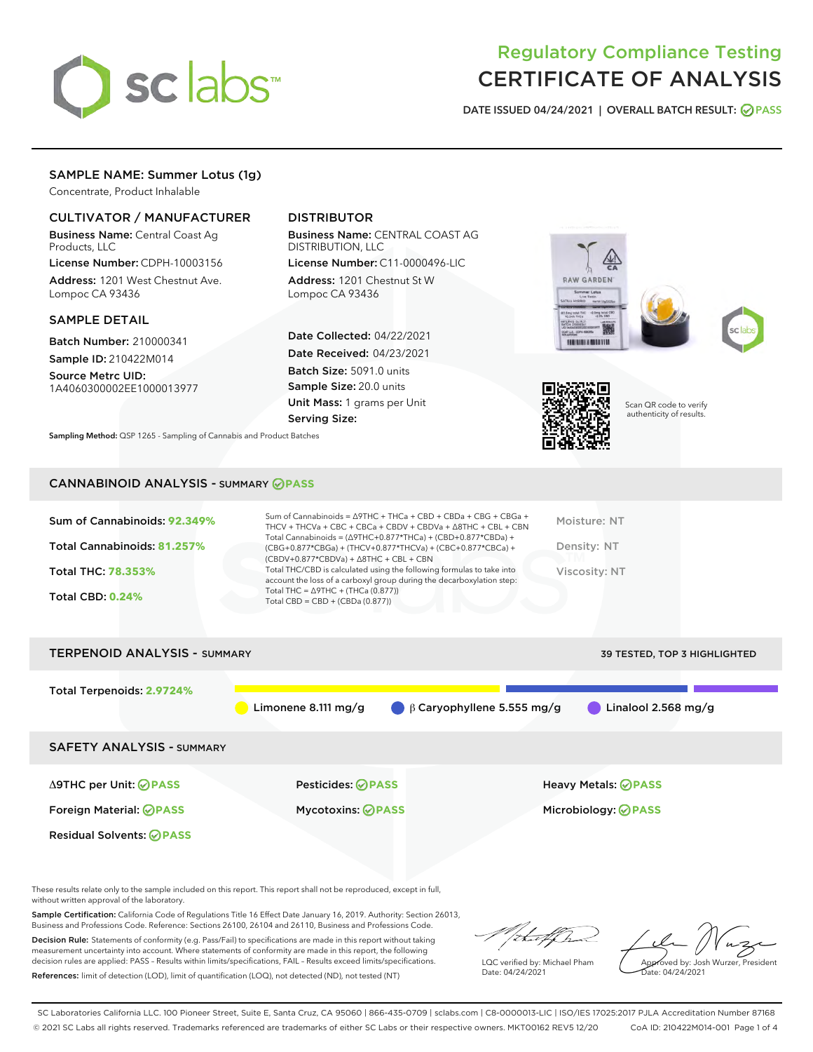

# Regulatory Compliance Testing CERTIFICATE OF ANALYSIS

DATE ISSUED 04/24/2021 | OVERALL BATCH RESULT: @ PASS

# SAMPLE NAME: Summer Lotus (1g)

Concentrate, Product Inhalable

# CULTIVATOR / MANUFACTURER

Business Name: Central Coast Ag Products, LLC

License Number: CDPH-10003156 Address: 1201 West Chestnut Ave. Lompoc CA 93436

#### SAMPLE DETAIL

Batch Number: 210000341 Sample ID: 210422M014

Source Metrc UID:

1A4060300002EE1000013977

# DISTRIBUTOR

Business Name: CENTRAL COAST AG DISTRIBUTION, LLC

License Number: C11-0000496-LIC Address: 1201 Chestnut St W Lompoc CA 93436

Date Collected: 04/22/2021 Date Received: 04/23/2021 Batch Size: 5091.0 units Sample Size: 20.0 units Unit Mass: 1 grams per Unit Serving Size:







Scan QR code to verify authenticity of results.

## CANNABINOID ANALYSIS - SUMMARY **PASS**

Sampling Method: QSP 1265 - Sampling of Cannabis and Product Batches

| Sum of Cannabinoids: 92.349% | Sum of Cannabinoids = $\triangle$ 9THC + THCa + CBD + CBDa + CBG + CBGa +<br>THCV + THCVa + CBC + CBCa + CBDV + CBDVa + $\land$ 8THC + CBL + CBN                                     | Moisture: NT  |
|------------------------------|--------------------------------------------------------------------------------------------------------------------------------------------------------------------------------------|---------------|
| Total Cannabinoids: 81.257%  | Total Cannabinoids = $(\Delta$ 9THC+0.877*THCa) + (CBD+0.877*CBDa) +<br>(CBG+0.877*CBGa) + (THCV+0.877*THCVa) + (CBC+0.877*CBCa) +<br>$(CBDV+0.877*CBDVa) + \Delta 8THC + CBL + CBN$ | Density: NT   |
| Total THC: 78.353%           | Total THC/CBD is calculated using the following formulas to take into<br>account the loss of a carboxyl group during the decarboxylation step:                                       | Viscosity: NT |
| <b>Total CBD: 0.24%</b>      | Total THC = $\triangle$ 9THC + (THCa (0.877))<br>Total CBD = $CBD + (CBDa (0.877))$                                                                                                  |               |
|                              |                                                                                                                                                                                      |               |



These results relate only to the sample included on this report. This report shall not be reproduced, except in full, without written approval of the laboratory.

Sample Certification: California Code of Regulations Title 16 Effect Date January 16, 2019. Authority: Section 26013, Business and Professions Code. Reference: Sections 26100, 26104 and 26110, Business and Professions Code.

Decision Rule: Statements of conformity (e.g. Pass/Fail) to specifications are made in this report without taking measurement uncertainty into account. Where statements of conformity are made in this report, the following decision rules are applied: PASS – Results within limits/specifications, FAIL – Results exceed limits/specifications. References: limit of detection (LOD), limit of quantification (LOQ), not detected (ND), not tested (NT)

that for

LQC verified by: Michael Pham Date: 04/24/2021

Approved by: Josh Wurzer, President ate: 04/24/2021

SC Laboratories California LLC. 100 Pioneer Street, Suite E, Santa Cruz, CA 95060 | 866-435-0709 | sclabs.com | C8-0000013-LIC | ISO/IES 17025:2017 PJLA Accreditation Number 87168 © 2021 SC Labs all rights reserved. Trademarks referenced are trademarks of either SC Labs or their respective owners. MKT00162 REV5 12/20 CoA ID: 210422M014-001 Page 1 of 4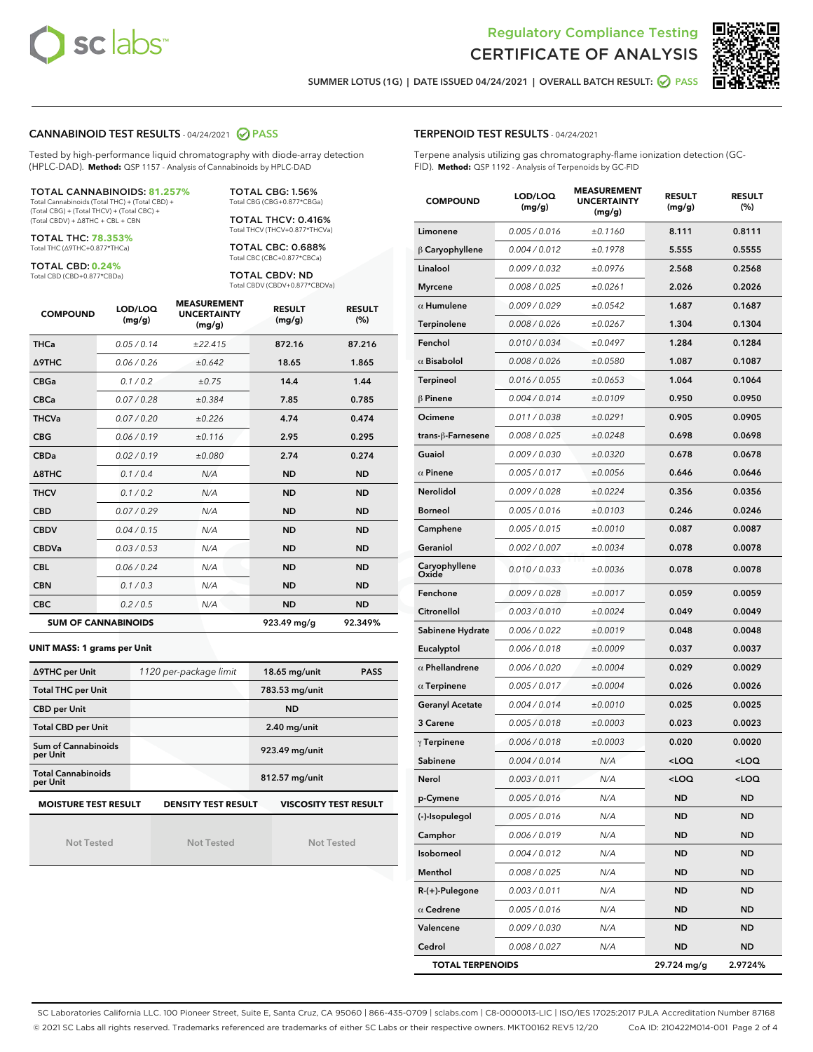



SUMMER LOTUS (1G) | DATE ISSUED 04/24/2021 | OVERALL BATCH RESULT: **○** PASS

### CANNABINOID TEST RESULTS - 04/24/2021 2 PASS

Tested by high-performance liquid chromatography with diode-array detection (HPLC-DAD). **Method:** QSP 1157 - Analysis of Cannabinoids by HPLC-DAD

#### TOTAL CANNABINOIDS: **81.257%**

Total Cannabinoids (Total THC) + (Total CBD) + (Total CBG) + (Total THCV) + (Total CBC) + (Total CBDV) + ∆8THC + CBL + CBN

TOTAL THC: **78.353%** Total THC (∆9THC+0.877\*THCa)

TOTAL CBD: **0.24%**

Total CBD (CBD+0.877\*CBDa)

TOTAL CBG: 1.56% Total CBG (CBG+0.877\*CBGa)

TOTAL THCV: 0.416% Total THCV (THCV+0.877\*THCVa)

TOTAL CBC: 0.688% Total CBC (CBC+0.877\*CBCa)

TOTAL CBDV: ND Total CBDV (CBDV+0.877\*CBDVa)

| <b>COMPOUND</b> | LOD/LOQ<br>(mg/g)          | <b>MEASUREMENT</b><br><b>UNCERTAINTY</b><br>(mg/g) | <b>RESULT</b><br>(mg/g) | <b>RESULT</b><br>(%) |
|-----------------|----------------------------|----------------------------------------------------|-------------------------|----------------------|
| <b>THCa</b>     | 0.05 / 0.14                | ±22.415                                            | 872.16                  | 87.216               |
| <b>A9THC</b>    | 0.06 / 0.26                | ±0.642                                             | 18.65                   | 1.865                |
| <b>CBGa</b>     | 0.1 / 0.2                  | ±0.75                                              | 14.4                    | 1.44                 |
| <b>CBCa</b>     | 0.07/0.28                  | ±0.384                                             | 7.85                    | 0.785                |
| <b>THCVa</b>    | 0.07/0.20                  | ±0.226                                             | 4.74                    | 0.474                |
| <b>CBG</b>      | 0.06/0.19                  | ±0.116                                             | 2.95                    | 0.295                |
| <b>CBDa</b>     | 0.02/0.19                  | ±0.080                                             | 2.74                    | 0.274                |
| A8THC           | 0.1/0.4                    | N/A                                                | <b>ND</b>               | <b>ND</b>            |
| <b>THCV</b>     | 0.1/0.2                    | N/A                                                | <b>ND</b>               | <b>ND</b>            |
| <b>CBD</b>      | 0.07/0.29                  | N/A                                                | <b>ND</b>               | <b>ND</b>            |
| <b>CBDV</b>     | 0.04 / 0.15                | N/A                                                | <b>ND</b>               | <b>ND</b>            |
| <b>CBDVa</b>    | 0.03/0.53                  | N/A                                                | <b>ND</b>               | <b>ND</b>            |
| <b>CBL</b>      | 0.06 / 0.24                | N/A                                                | <b>ND</b>               | <b>ND</b>            |
| <b>CBN</b>      | 0.1/0.3                    | N/A                                                | <b>ND</b>               | <b>ND</b>            |
| <b>CBC</b>      | 0.2 / 0.5                  | N/A                                                | <b>ND</b>               | <b>ND</b>            |
|                 | <b>SUM OF CANNABINOIDS</b> |                                                    | 923.49 mg/g             | 92.349%              |

#### **UNIT MASS: 1 grams per Unit**

| ∆9THC per Unit                                                                            | 1120 per-package limit | 18.65 mg/unit<br><b>PASS</b> |  |  |
|-------------------------------------------------------------------------------------------|------------------------|------------------------------|--|--|
| <b>Total THC per Unit</b>                                                                 |                        | 783.53 mg/unit               |  |  |
| <b>CBD per Unit</b>                                                                       |                        | <b>ND</b>                    |  |  |
| <b>Total CBD per Unit</b>                                                                 |                        | 2.40 mg/unit                 |  |  |
| Sum of Cannabinoids<br>per Unit                                                           |                        | 923.49 mg/unit               |  |  |
| <b>Total Cannabinoids</b><br>per Unit                                                     |                        | 812.57 mg/unit               |  |  |
| <b>MOISTURE TEST RESULT</b><br><b>VISCOSITY TEST RESULT</b><br><b>DENSITY TEST RESULT</b> |                        |                              |  |  |

Not Tested

Not Tested

Not Tested

| <b>TERPENOID TEST RESULTS - 04/24/2021</b> |  |  |  |
|--------------------------------------------|--|--|--|
|--------------------------------------------|--|--|--|

Terpene analysis utilizing gas chromatography-flame ionization detection (GC-FID). **Method:** QSP 1192 - Analysis of Terpenoids by GC-FID

| <b>COMPOUND</b>         | LOD/LOQ<br>(mg/g) | <b>MEASUREMENT</b><br><b>UNCERTAINTY</b><br>(mg/g) | <b>RESULT</b><br>(mg/g)                         | <b>RESULT</b><br>(%) |
|-------------------------|-------------------|----------------------------------------------------|-------------------------------------------------|----------------------|
| Limonene                | 0.005 / 0.016     | ±0.1160                                            | 8.111                                           | 0.8111               |
| $\beta$ Caryophyllene   | 0.004 / 0.012     | ±0.1978                                            | 5.555                                           | 0.5555               |
| Linalool                | 0.009 / 0.032     | ±0.0976                                            | 2.568                                           | 0.2568               |
| <b>Myrcene</b>          | 0.008 / 0.025     | ±0.0261                                            | 2.026                                           | 0.2026               |
| $\alpha$ Humulene       | 0.009 / 0.029     | ±0.0542                                            | 1.687                                           | 0.1687               |
| Terpinolene             | 0.008 / 0.026     | ±0.0267                                            | 1.304                                           | 0.1304               |
| Fenchol                 | 0.010 / 0.034     | ±0.0497                                            | 1.284                                           | 0.1284               |
| $\alpha$ Bisabolol      | 0.008 / 0.026     | ±0.0580                                            | 1.087                                           | 0.1087               |
| Terpineol               | 0.016 / 0.055     | ±0.0653                                            | 1.064                                           | 0.1064               |
| $\beta$ Pinene          | 0.004 / 0.014     | ±0.0109                                            | 0.950                                           | 0.0950               |
| Ocimene                 | 0.011/0.038       | ±0.0291                                            | 0.905                                           | 0.0905               |
| trans-ß-Farnesene       | 0.008 / 0.025     | ±0.0248                                            | 0.698                                           | 0.0698               |
| Guaiol                  | 0.009 / 0.030     | ±0.0320                                            | 0.678                                           | 0.0678               |
| $\alpha$ Pinene         | 0.005 / 0.017     | ±0.0056                                            | 0.646                                           | 0.0646               |
| Nerolidol               | 0.009 / 0.028     | ±0.0224                                            | 0.356                                           | 0.0356               |
| Borneol                 | 0.005 / 0.016     | ±0.0103                                            | 0.246                                           | 0.0246               |
| Camphene                | 0.005 / 0.015     | ±0.0010                                            | 0.087                                           | 0.0087               |
| Geraniol                | 0.002 / 0.007     | ±0.0034                                            | 0.078                                           | 0.0078               |
| Caryophyllene<br>Oxide  | 0.010 / 0.033     | ±0.0036                                            | 0.078                                           | 0.0078               |
| Fenchone                | 0.009 / 0.028     | ±0.0017                                            | 0.059                                           | 0.0059               |
| Citronellol             | 0.003 / 0.010     | ±0.0024                                            | 0.049                                           | 0.0049               |
| Sabinene Hydrate        | 0.006 / 0.022     | ±0.0019                                            | 0.048                                           | 0.0048               |
| Eucalyptol              | 0.006 / 0.018     | ±0.0009                                            | 0.037                                           | 0.0037               |
| $\alpha$ Phellandrene   | 0.006 / 0.020     | ±0.0004                                            | 0.029                                           | 0.0029               |
| $\alpha$ Terpinene      | 0.005 / 0.017     | ±0.0004                                            | 0.026                                           | 0.0026               |
| <b>Geranyl Acetate</b>  | 0.004 / 0.014     | ±0.0010                                            | 0.025                                           | 0.0025               |
| 3 Carene                | 0.005 / 0.018     | ±0.0003                                            | 0.023                                           | 0.0023               |
| $\gamma$ Terpinene      | 0.006 / 0.018     | ±0.0003                                            | 0.020                                           | 0.0020               |
| Sabinene                | 0.004 / 0.014     | N/A                                                | <loq< th=""><th><loq< th=""></loq<></th></loq<> | <loq< th=""></loq<>  |
| Nerol                   | 0.003 / 0.011     | N/A                                                | $\sim$ 00                                       | $\sim$ OO Is         |
| p-Cymene                | 0.005 / 0.016     | N/A                                                | ND                                              | ND                   |
| (-)-Isopulegol          | 0.005 / 0.016     | N/A                                                | <b>ND</b>                                       | ND                   |
| Camphor                 | 0.006 / 0.019     | N/A                                                | ND                                              | ND                   |
| Isoborneol              | 0.004 / 0.012     | N/A                                                | ND                                              | ND                   |
| Menthol                 | 0.008 / 0.025     | N/A                                                | ND                                              | ND                   |
| $R-(+)$ -Pulegone       | 0.003 / 0.011     | N/A                                                | ND                                              | ND                   |
| $\alpha$ Cedrene        | 0.005 / 0.016     | N/A                                                | ND                                              | ND                   |
| Valencene               | 0.009 / 0.030     | N/A                                                | ND                                              | ND                   |
| Cedrol                  | 0.008 / 0.027     | N/A                                                | ND                                              | ND                   |
| <b>TOTAL TERPENOIDS</b> |                   |                                                    | 29.724 mg/g                                     | 2.9724%              |

SC Laboratories California LLC. 100 Pioneer Street, Suite E, Santa Cruz, CA 95060 | 866-435-0709 | sclabs.com | C8-0000013-LIC | ISO/IES 17025:2017 PJLA Accreditation Number 87168 © 2021 SC Labs all rights reserved. Trademarks referenced are trademarks of either SC Labs or their respective owners. MKT00162 REV5 12/20 CoA ID: 210422M014-001 Page 2 of 4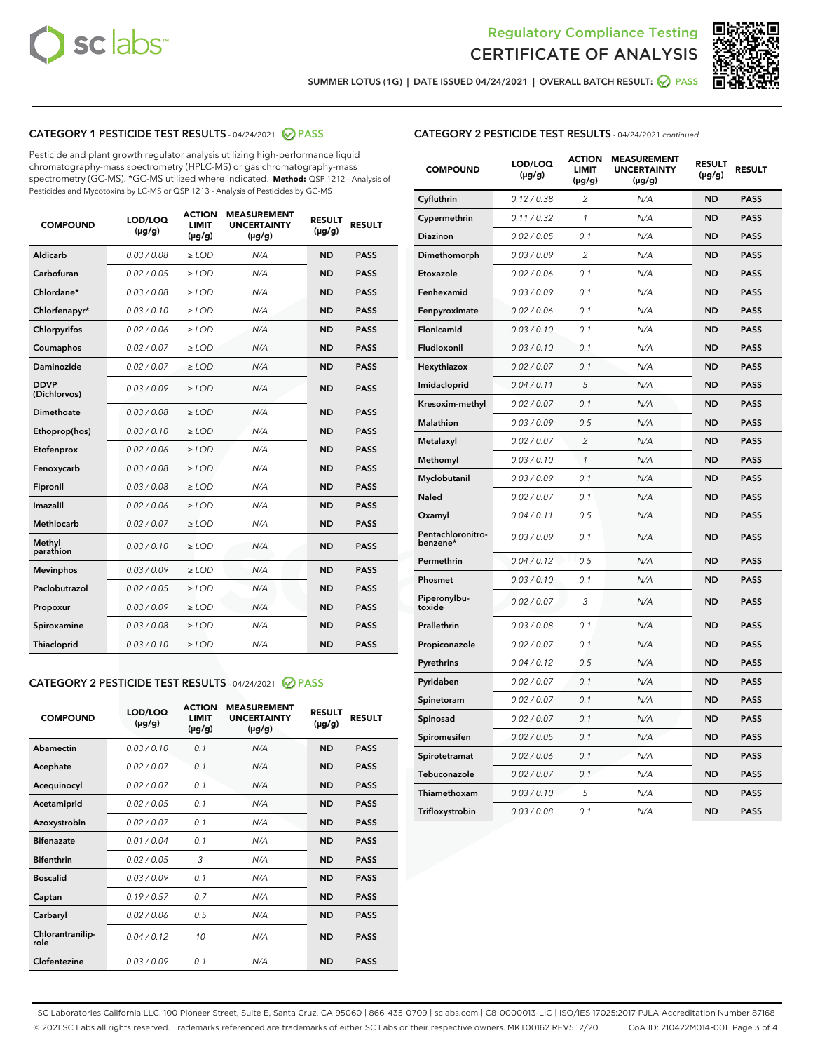



SUMMER LOTUS (1G) | DATE ISSUED 04/24/2021 | OVERALL BATCH RESULT: 2 PASS

# CATEGORY 1 PESTICIDE TEST RESULTS - 04/24/2021 2 PASS

Pesticide and plant growth regulator analysis utilizing high-performance liquid chromatography-mass spectrometry (HPLC-MS) or gas chromatography-mass spectrometry (GC-MS). \*GC-MS utilized where indicated. **Method:** QSP 1212 - Analysis of Pesticides and Mycotoxins by LC-MS or QSP 1213 - Analysis of Pesticides by GC-MS

| <b>COMPOUND</b>             | LOD/LOQ<br>$(\mu g/g)$ | <b>ACTION</b><br><b>LIMIT</b><br>$(\mu g/g)$ | <b>MEASUREMENT</b><br><b>UNCERTAINTY</b><br>$(\mu g/g)$ | <b>RESULT</b><br>$(\mu g/g)$ | <b>RESULT</b> |
|-----------------------------|------------------------|----------------------------------------------|---------------------------------------------------------|------------------------------|---------------|
| Aldicarb                    | 0.03 / 0.08            | $\ge$ LOD                                    | N/A                                                     | <b>ND</b>                    | <b>PASS</b>   |
| Carbofuran                  | 0.02/0.05              | $>$ LOD                                      | N/A                                                     | <b>ND</b>                    | <b>PASS</b>   |
| Chlordane*                  | 0.03 / 0.08            | $\ge$ LOD                                    | N/A                                                     | <b>ND</b>                    | <b>PASS</b>   |
| Chlorfenapyr*               | 0.03/0.10              | $>$ LOD                                      | N/A                                                     | <b>ND</b>                    | <b>PASS</b>   |
| Chlorpyrifos                | 0.02 / 0.06            | $\ge$ LOD                                    | N/A                                                     | <b>ND</b>                    | <b>PASS</b>   |
| Coumaphos                   | 0.02 / 0.07            | $\ge$ LOD                                    | N/A                                                     | <b>ND</b>                    | <b>PASS</b>   |
| Daminozide                  | 0.02 / 0.07            | $\ge$ LOD                                    | N/A                                                     | <b>ND</b>                    | <b>PASS</b>   |
| <b>DDVP</b><br>(Dichlorvos) | 0.03/0.09              | $\ge$ LOD                                    | N/A                                                     | <b>ND</b>                    | <b>PASS</b>   |
| Dimethoate                  | 0.03/0.08              | $>$ LOD                                      | N/A                                                     | <b>ND</b>                    | <b>PASS</b>   |
| Ethoprop(hos)               | 0.03/0.10              | $\ge$ LOD                                    | N/A                                                     | <b>ND</b>                    | <b>PASS</b>   |
| Etofenprox                  | 0.02 / 0.06            | $\ge$ LOD                                    | N/A                                                     | <b>ND</b>                    | <b>PASS</b>   |
| Fenoxycarb                  | 0.03 / 0.08            | $\ge$ LOD                                    | N/A                                                     | <b>ND</b>                    | <b>PASS</b>   |
| Fipronil                    | 0.03/0.08              | $>$ LOD                                      | N/A                                                     | <b>ND</b>                    | <b>PASS</b>   |
| Imazalil                    | 0.02 / 0.06            | $\ge$ LOD                                    | N/A                                                     | <b>ND</b>                    | <b>PASS</b>   |
| Methiocarb                  | 0.02 / 0.07            | $\ge$ LOD                                    | N/A                                                     | <b>ND</b>                    | <b>PASS</b>   |
| Methyl<br>parathion         | 0.03/0.10              | $\ge$ LOD                                    | N/A                                                     | <b>ND</b>                    | <b>PASS</b>   |
| <b>Mevinphos</b>            | 0.03/0.09              | $>$ LOD                                      | N/A                                                     | <b>ND</b>                    | <b>PASS</b>   |
| Paclobutrazol               | 0.02 / 0.05            | $\ge$ LOD                                    | N/A                                                     | <b>ND</b>                    | <b>PASS</b>   |
| Propoxur                    | 0.03/0.09              | $\ge$ LOD                                    | N/A                                                     | <b>ND</b>                    | <b>PASS</b>   |
| Spiroxamine                 | 0.03 / 0.08            | $\ge$ LOD                                    | N/A                                                     | <b>ND</b>                    | <b>PASS</b>   |
| Thiacloprid                 | 0.03/0.10              | $\ge$ LOD                                    | N/A                                                     | <b>ND</b>                    | <b>PASS</b>   |

#### CATEGORY 2 PESTICIDE TEST RESULTS - 04/24/2021 @ PASS

| <b>COMPOUND</b>          | LOD/LOO<br>$(\mu g/g)$ | <b>ACTION</b><br>LIMIT<br>$(\mu g/g)$ | <b>MEASUREMENT</b><br><b>UNCERTAINTY</b><br>$(\mu g/g)$ | <b>RESULT</b><br>$(\mu g/g)$ | <b>RESULT</b> |  |
|--------------------------|------------------------|---------------------------------------|---------------------------------------------------------|------------------------------|---------------|--|
| Abamectin                | 0.03/0.10              | 0.1                                   | N/A                                                     | <b>ND</b>                    | <b>PASS</b>   |  |
| Acephate                 | 0.02/0.07              | 0.1                                   | N/A                                                     | <b>ND</b>                    | <b>PASS</b>   |  |
| Acequinocyl              | 0.02/0.07              | 0.1                                   | N/A                                                     | <b>ND</b>                    | <b>PASS</b>   |  |
| Acetamiprid              | 0.02 / 0.05            | 0.1                                   | N/A                                                     | <b>ND</b>                    | <b>PASS</b>   |  |
| Azoxystrobin             | 0.02/0.07              | 0.1                                   | N/A                                                     | <b>ND</b>                    | <b>PASS</b>   |  |
| <b>Bifenazate</b>        | 0.01 / 0.04            | 0.1                                   | N/A                                                     | <b>ND</b>                    | <b>PASS</b>   |  |
| <b>Bifenthrin</b>        | 0.02 / 0.05            | 3                                     | N/A                                                     | <b>ND</b>                    | <b>PASS</b>   |  |
| <b>Boscalid</b>          | 0.03/0.09              | 0.1                                   | N/A                                                     | <b>ND</b>                    | <b>PASS</b>   |  |
| Captan                   | 0.19/0.57              | 0.7                                   | N/A                                                     | <b>ND</b>                    | <b>PASS</b>   |  |
| Carbaryl                 | 0.02/0.06              | 0.5                                   | N/A                                                     | <b>ND</b>                    | <b>PASS</b>   |  |
| Chlorantranilip-<br>role | 0.04/0.12              | 10                                    | N/A                                                     | <b>ND</b>                    | <b>PASS</b>   |  |
| Clofentezine             | 0.03/0.09              | 0.1                                   | N/A                                                     | <b>ND</b>                    | <b>PASS</b>   |  |

# CATEGORY 2 PESTICIDE TEST RESULTS - 04/24/2021 continued

| <b>COMPOUND</b>               | LOD/LOQ<br>(µg/g) | <b>ACTION</b><br><b>LIMIT</b><br>$(\mu g/g)$ | <b>MEASUREMENT</b><br><b>UNCERTAINTY</b><br>$(\mu g/g)$ | <b>RESULT</b><br>(µg/g) | <b>RESULT</b> |
|-------------------------------|-------------------|----------------------------------------------|---------------------------------------------------------|-------------------------|---------------|
| Cyfluthrin                    | 0.12 / 0.38       | $\overline{c}$                               | N/A                                                     | ND                      | <b>PASS</b>   |
| Cypermethrin                  | 0.11 / 0.32       | $\mathcal{I}$                                | N/A                                                     | ND                      | <b>PASS</b>   |
| Diazinon                      | 0.02 / 0.05       | 0.1                                          | N/A                                                     | <b>ND</b>               | <b>PASS</b>   |
| Dimethomorph                  | 0.03 / 0.09       | $\overline{2}$                               | N/A                                                     | ND                      | <b>PASS</b>   |
| Etoxazole                     | 0.02 / 0.06       | 0.1                                          | N/A                                                     | ND                      | <b>PASS</b>   |
| Fenhexamid                    | 0.03 / 0.09       | 0.1                                          | N/A                                                     | <b>ND</b>               | <b>PASS</b>   |
| Fenpyroximate                 | 0.02 / 0.06       | 0.1                                          | N/A                                                     | ND                      | <b>PASS</b>   |
| Flonicamid                    | 0.03 / 0.10       | 0.1                                          | N/A                                                     | ND                      | <b>PASS</b>   |
| Fludioxonil                   | 0.03 / 0.10       | 0.1                                          | N/A                                                     | ND                      | <b>PASS</b>   |
| Hexythiazox                   | 0.02 / 0.07       | 0.1                                          | N/A                                                     | ND                      | <b>PASS</b>   |
| Imidacloprid                  | 0.04 / 0.11       | 5                                            | N/A                                                     | ND                      | <b>PASS</b>   |
| Kresoxim-methyl               | 0.02 / 0.07       | 0.1                                          | N/A                                                     | ND                      | <b>PASS</b>   |
| <b>Malathion</b>              | 0.03 / 0.09       | 0.5                                          | N/A                                                     | ND                      | <b>PASS</b>   |
| Metalaxyl                     | 0.02 / 0.07       | $\overline{c}$                               | N/A                                                     | ND                      | <b>PASS</b>   |
| Methomyl                      | 0.03 / 0.10       | 1                                            | N/A                                                     | <b>ND</b>               | <b>PASS</b>   |
| Myclobutanil                  | 0.03 / 0.09       | 0.1                                          | N/A                                                     | ND                      | <b>PASS</b>   |
| Naled                         | 0.02 / 0.07       | 0.1                                          | N/A                                                     | ND                      | <b>PASS</b>   |
| Oxamyl                        | 0.04 / 0.11       | 0.5                                          | N/A                                                     | ND                      | <b>PASS</b>   |
| Pentachloronitro-<br>benzene* | 0.03 / 0.09       | 0.1                                          | N/A                                                     | ND                      | <b>PASS</b>   |
| Permethrin                    | 0.04 / 0.12       | 0.5                                          | N/A                                                     | ND                      | <b>PASS</b>   |
| Phosmet                       | 0.03 / 0.10       | 0.1                                          | N/A                                                     | ND                      | <b>PASS</b>   |
| Piperonylbu-<br>toxide        | 0.02 / 0.07       | 3                                            | N/A                                                     | ND                      | <b>PASS</b>   |
| Prallethrin                   | 0.03 / 0.08       | 0.1                                          | N/A                                                     | ND                      | <b>PASS</b>   |
| Propiconazole                 | 0.02 / 0.07       | 0.1                                          | N/A                                                     | ND                      | <b>PASS</b>   |
| Pyrethrins                    | 0.04 / 0.12       | 0.5                                          | N/A                                                     | ND                      | <b>PASS</b>   |
| Pyridaben                     | 0.02 / 0.07       | 0.1                                          | N/A                                                     | ND                      | <b>PASS</b>   |
| Spinetoram                    | 0.02 / 0.07       | 0.1                                          | N/A                                                     | ND                      | <b>PASS</b>   |
| Spinosad                      | 0.02 / 0.07       | 0.1                                          | N/A                                                     | ND                      | <b>PASS</b>   |
| Spiromesifen                  | 0.02 / 0.05       | 0.1                                          | N/A                                                     | <b>ND</b>               | <b>PASS</b>   |
| Spirotetramat                 | 0.02 / 0.06       | 0.1                                          | N/A                                                     | ND                      | <b>PASS</b>   |
| Tebuconazole                  | 0.02 / 0.07       | 0.1                                          | N/A                                                     | ND                      | <b>PASS</b>   |
| Thiamethoxam                  | 0.03 / 0.10       | 5                                            | N/A                                                     | ND                      | <b>PASS</b>   |
| Trifloxystrobin               | 0.03 / 0.08       | 0.1                                          | N/A                                                     | <b>ND</b>               | <b>PASS</b>   |

SC Laboratories California LLC. 100 Pioneer Street, Suite E, Santa Cruz, CA 95060 | 866-435-0709 | sclabs.com | C8-0000013-LIC | ISO/IES 17025:2017 PJLA Accreditation Number 87168 © 2021 SC Labs all rights reserved. Trademarks referenced are trademarks of either SC Labs or their respective owners. MKT00162 REV5 12/20 CoA ID: 210422M014-001 Page 3 of 4